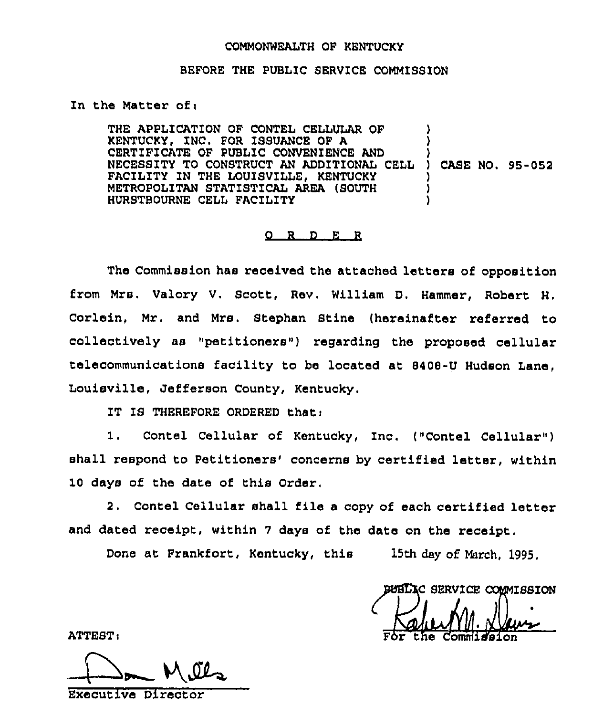## COMMONWEALTH OF KENTUCKY

## BEFORE THE PUBLIC SERVICE COMMISSION

## In the Matter of $:$

THE APPLICATION OF CONTEL CELLULAR OF KENTUCKY, ZNC. FOR ISSUANCE OF A CERTIFICATE OF PUBLIC CONVENIENCE AND NECESSITY TO CONSTRUCT AN ADDITIONAL CELL FACILITY IN THE LOUISVILLE, KENTUCKY METROPOLITAN STATISTICAL AREA (SOUTH HURSTBOURNE CELL FACILITY ) ) ) ) CASE NO. 95-052 ) ) )

## $Q$  R  $D$  E R

The Commission has received the attached letters of opposition from Mrs, Valory V, Scott, Rev. William D, Hammer, Robert H, Corlein, Mr. and Mrs. Stephan Stine (hereinafter referred to collectively as "petitioners") regarding the proposed cellular telecommunications facility to be located at 8408-U Hudson Lane, Louisville, Jefferson County, Kentucky.

IT IS THEREFORE ORDERED that:

1. Contel Cellular of Kentucky, Inc. ("Contel Cellular" ) shall respond to Petitioners' concerns by certified letter, within 10 days of the date of this Order,

2. Contel Cellular shall file a copy of each certified letter and dated receipt, within <sup>7</sup> days of the date on the receipt.

Done at Frankfort, Kentucky, this 15th day of March, 1995.

BUBLIC SERVICE COMMISSION For the Commission

ATTEST:

Executive Director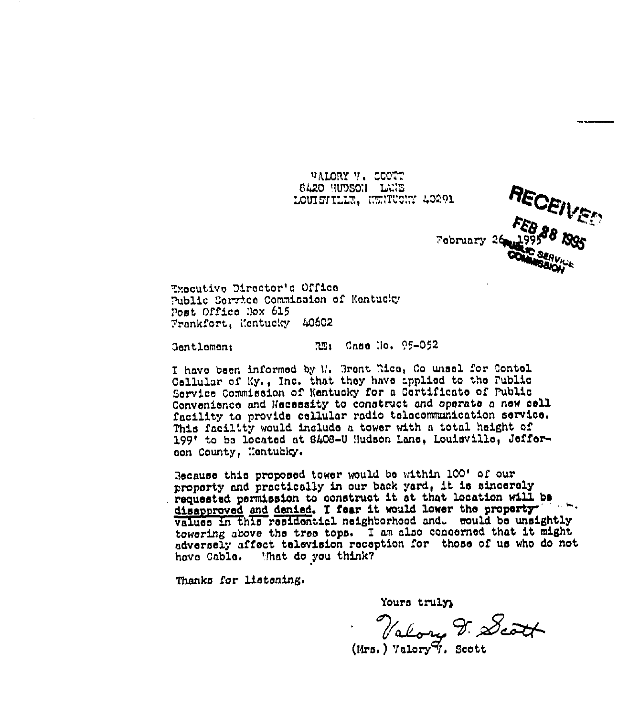**VALORY V. CCOTT 8420 HUDSON LUIE** LOUISVILLE, INNIFICANT 40291



Executive Director's Office Public Service Commission of Kentucky Post Office Box 615 Frankfort, Kentucky 40602

321 Cano Mo. 95-052 **Gentlement** 

I have been informed by W. Brent Rice, Co unsel for Contel Cellular of Ky., Inc. that they have applied to the Fublic Service Commission of Kentucky for a Certificate of Public Convenience and Necessity to construct and operate a new cell facility to provide cellular radio telecommunication service. This facility would include a tower with a total height of 199' to be located at 8408-U Hudson Lane, Louisville, Jefferson County, Mentubley.

Because this proposed tower would be within 100' of our property and practically in our back yard, it is sincerely requested permission to construct it at that location will be disapproved and denied. I fear it would lower the property values in this residential neighborhood and. would be unsightly towering above the tree tops. I am also concerned that it might adversely affect television reception for those of us who do not have Cable. That do you think?

Thanks for listening.

Yours truly,

Valory V. Scott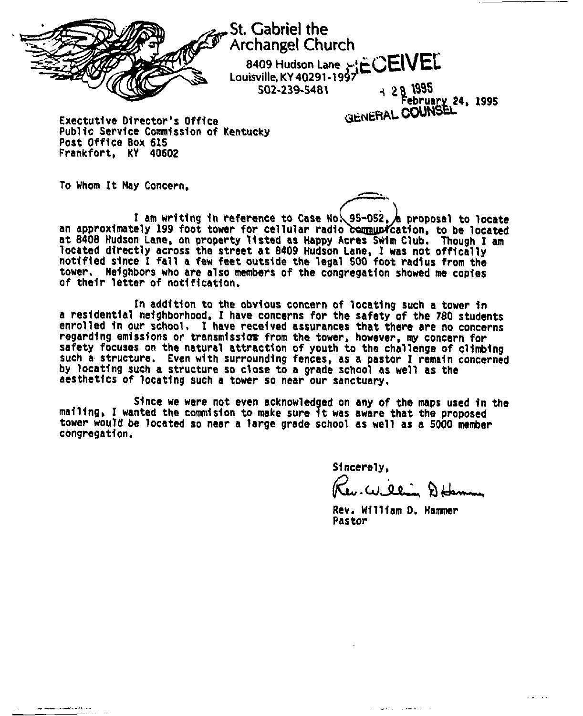

St. Gabriel the Archangel Church 8409 Hudson Lane <sub>→'t</sub>亡()ElVEL Louisville, KY 40291-1957 502-239-5481 <sup>4</sup>

'g 8 SSS February 24. 1995 Exectutive Director's Office GENERAL COUNSEL

Public Service Commission of Kentucky Post Office 8ox 615 Frankfort, KY 40602

To Whom It Nay Concern.

I am writing in reference to Case No. 95-052. A proposal to locate an approximately 199 foot tower for cellular radio communication, to be located at <sup>8408</sup> Hudson Lane, on property listed as Happy Acres Suim Club. Though I am located directly across the street at 8409 Hudson Lane, I was not offically notified since I fall a few feet outside the legal 500 foot radius from the tower. Neighbors who are also members of the congregation showed me copies of their letter of notification.

In addition to the obvious concern of locating such a tower in a residential neighborhood. I have concerns for the safety of the 180 students enrolled in our school. I have received assurances that there are no concern regarding emissions or transmission from the tower, however, my concern for safety focuses on the natural attraction of youth to the challenge of climbing such a structure. Even with surrounding fences, as a pastor I remain concerned by locating such a structure so close to a grade school as well as the aesthetics of locating such a tower so near our sanctuary.

Since we were not even acknowledged on any of the maps used in the mailing, I wanted the commision to make sure it was aware that the proposed tower would be located so near a large grade school as well as a 5000 member congregation.

Sincerely,

Key. William Dobrom

Rev. William D. Hammer Pastor

and the second second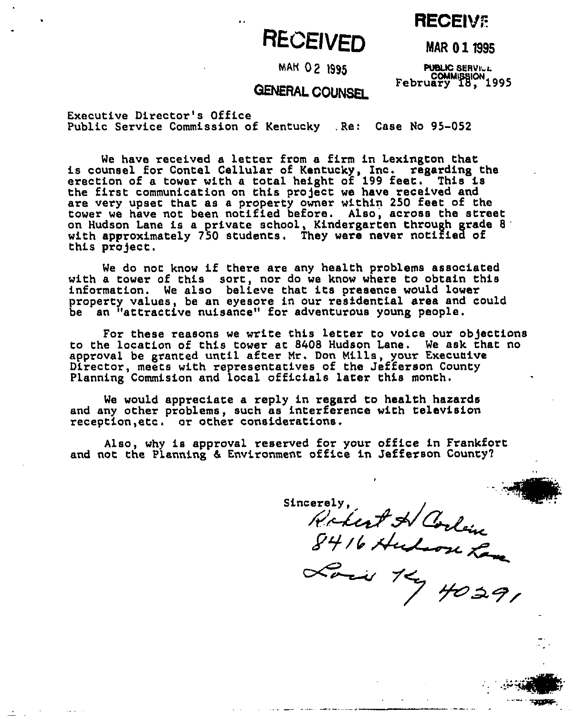## **RECEIVE**

# **RECEIVED**

MAM UZ 1995 PUBLIC SERVILL<br>COMMISSION<br>ERAL CONNSEI February 18, 1995

**MAR 01 1995** 

## GENERAL NERAi COUNSEL

Executive Director's Office Public Service Commission of Kentucky .Re: Case Ho 95-052

We have received a letter from a firm in Lexington that<br>is counsel for Contel Cellular of Kentucky, Inc. regarding the erection of a tower with a total height of 199 feet. This is the first communication on this project we have received and are very upset that as a property owner within 250 feet of the tower we have not been notified before. Also, across the street on Hudson Lane is a privare school, Kindergarten through grade <sup>8</sup> approximately 750 students. They were never notified of this project.

We do not know if there are any health problems associated with a tower of this sort, nor do we know where to obtain this information. We also believe that its presence would lower property values, be an eyesore in our residential area and could be an "attractive nuisance" for adventurous young people.

For these reasons we write this letter to voice our objections to the location of this tower at 8408 Hudson Lane. We ask that no approval be granted until after Mr. Don Mills, your Execuaive Director, meets with representatives of the Jefferson County Planning Commision and local officials later this month.

We would appreciate a reply in regard to health hazards and any other problems, such as interference with television reception,etc. or other considerations.

Also, why is approval reserved for your office in Frankfort and not the Planning & Environment office in Jefferson County?

Sincerely.

Actust & Corline<br>8416 Auton Lan